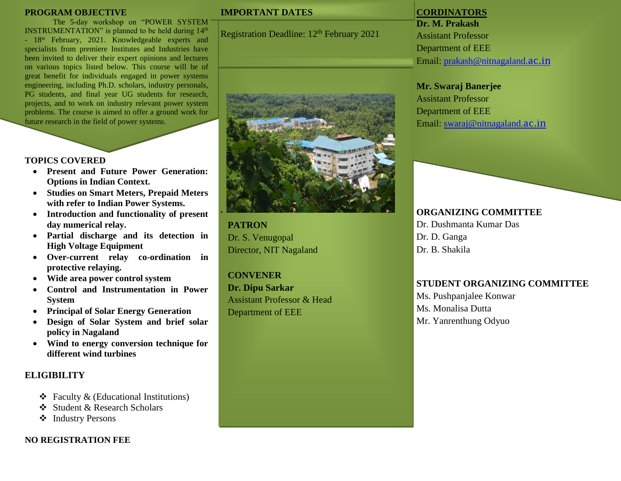#### **PROGRAM OBJECTIVE**

The 5-day workshop on "POWER SYSTEM INSTRUMENTATION" is planned to be held during  $14<sup>th</sup>$ - 18<sup>st</sup> February, 2021. Knowledgeable experts and specialists from premiere Institutes and Industries have been invited to deliver their expert opinions and lectures on various topics listed below. This course will be of great benefit for individuals engaged in power systems engineering, including Ph.D. scholars, industry personals, PG students, and final year UG students for research, projects, and to work on industry relevant power system problems. The course is aimed to offer a ground work for future research in the field of power systems.

## **TOPICS COVERED**

- **Present and Future Power Generation: Options in Indian Context.**
- **Studies on Smart Meters, Prepaid Meters with refer to Indian Power Systems.**
- **Introduction and functionality of present day numerical relay.**
- **Partial discharge and its detection in High Voltage Equipment**
- **Over-current relay co-ordination in protective relaying.**
- **Wide area power control system**
- **Control and Instrumentation in Power System**
- **Principal of Solar Energy Generation**
- **Design of Solar System and brief solar policy in Nagaland**
- **Wind to energy conversion technique for different wind turbines**

## **ELIGIBILITY**

- $\triangleleft$  Faculty & (Educational Institutions)
- Student & Research Scholars
- ❖ Industry Persons

## **NO REGISTRATION FEE**

## **IMPORTANT DATES**

Registration Deadline: 12<sup>th</sup> February 2021



**PATRON** Dr. S. Venugopal Director, NIT Nagaland

**CONVENER**

**Dr. Dipu Sarkar** Assistant Professor & Head Department of EEE

## **CORDINATORS**

**Dr. M. Prakash** Assistant Professor Department of EEE Email: [prakash@nitnagaland.](mailto:prakash@nitnagaland.ac.in)ac.in

### **Mr. Swaraj Banerjee**

Assistant Professor Department of EEE Email: [swaraj@nitnagaland.](mailto:swaraj@nitnagaland.ac.in)ac.in

## **ORGANIZING COMMITTEE**

Dr. Dushmanta Kumar Das Dr. D. Ganga Dr. B. Shakila

## **STUDENT ORGANIZING COMMITTEE**

Ms. Pushpanjalee Konwar Ms. Monalisa Dutta Mr. Yanrenthung Odyuo